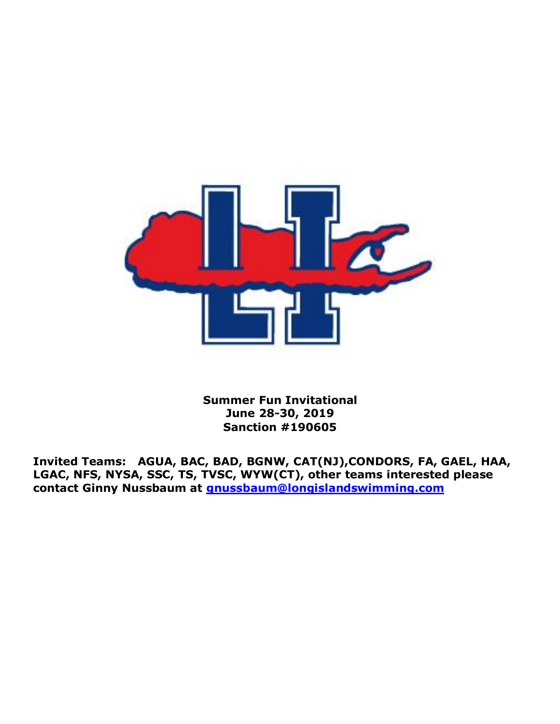

**Summer Fun Invitational June 28-30, 2019 Sanction #190605**

**Invited Teams: AGUA, BAC, BAD, BGNW, CAT(NJ),CONDORS, FA, GAEL, HAA, LGAC, NFS, NYSA, SSC, TS, TVSC, WYW(CT), other teams interested please contact Ginny Nussbaum at [gnussbaum@longislandswimming.com](mailto:gnussbaum@longislandswimming.com)**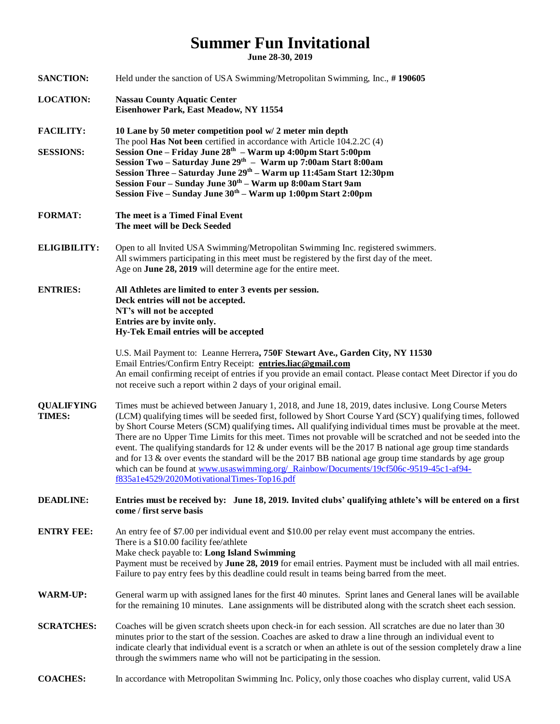## **Summer Fun Invitational**

**June 28-30, 2019**

| <b>SANCTION:</b>            | Held under the sanction of USA Swimming/Metropolitan Swimming, Inc., #190605                                                                                                                                                                                                                                                                                                                                                                                                                                                                                                                                                                                                                                                                                                                                                   |  |  |  |  |  |
|-----------------------------|--------------------------------------------------------------------------------------------------------------------------------------------------------------------------------------------------------------------------------------------------------------------------------------------------------------------------------------------------------------------------------------------------------------------------------------------------------------------------------------------------------------------------------------------------------------------------------------------------------------------------------------------------------------------------------------------------------------------------------------------------------------------------------------------------------------------------------|--|--|--|--|--|
| <b>LOCATION:</b>            | <b>Nassau County Aquatic Center</b><br>Eisenhower Park, East Meadow, NY 11554                                                                                                                                                                                                                                                                                                                                                                                                                                                                                                                                                                                                                                                                                                                                                  |  |  |  |  |  |
| <b>FACILITY:</b>            | 10 Lane by 50 meter competition pool w/2 meter min depth<br>The pool Has Not been certified in accordance with Article 104.2.2C (4)<br>Session One - Friday June 28 <sup>th</sup> - Warm up 4:00pm Start 5:00pm<br>Session Two - Saturday June 29th - Warm up 7:00am Start 8:00am<br>Session Three - Saturday June 29th - Warm up 11:45am Start 12:30pm<br>Session Four - Sunday June 30th - Warm up 8:00am Start 9am<br>Session Five - Sunday June 30th - Warm up 1:00pm Start 2:00pm                                                                                                                                                                                                                                                                                                                                         |  |  |  |  |  |
| <b>SESSIONS:</b>            |                                                                                                                                                                                                                                                                                                                                                                                                                                                                                                                                                                                                                                                                                                                                                                                                                                |  |  |  |  |  |
| <b>FORMAT:</b>              | The meet is a Timed Final Event<br>The meet will be Deck Seeded                                                                                                                                                                                                                                                                                                                                                                                                                                                                                                                                                                                                                                                                                                                                                                |  |  |  |  |  |
| <b>ELIGIBILITY:</b>         | Open to all Invited USA Swimming/Metropolitan Swimming Inc. registered swimmers.<br>All swimmers participating in this meet must be registered by the first day of the meet.<br>Age on June 28, 2019 will determine age for the entire meet.                                                                                                                                                                                                                                                                                                                                                                                                                                                                                                                                                                                   |  |  |  |  |  |
| <b>ENTRIES:</b>             | All Athletes are limited to enter 3 events per session.<br>Deck entries will not be accepted.<br>NT's will not be accepted<br>Entries are by invite only.<br>Hy-Tek Email entries will be accepted                                                                                                                                                                                                                                                                                                                                                                                                                                                                                                                                                                                                                             |  |  |  |  |  |
|                             | U.S. Mail Payment to: Leanne Herrera, 750F Stewart Ave., Garden City, NY 11530<br>Email Entries/Confirm Entry Receipt: entries.liac@gmail.com<br>An email confirming receipt of entries if you provide an email contact. Please contact Meet Director if you do<br>not receive such a report within 2 days of your original email.                                                                                                                                                                                                                                                                                                                                                                                                                                                                                             |  |  |  |  |  |
| <b>QUALIFYING</b><br>TIMES: | Times must be achieved between January 1, 2018, and June 18, 2019, dates inclusive. Long Course Meters<br>(LCM) qualifying times will be seeded first, followed by Short Course Yard (SCY) qualifying times, followed<br>by Short Course Meters (SCM) qualifying times. All qualifying individual times must be provable at the meet.<br>There are no Upper Time Limits for this meet. Times not provable will be scratched and not be seeded into the<br>event. The qualifying standards for $12 \&$ under events will be the 2017 B national age group time standards<br>and for 13 $\&$ over events the standard will be the 2017 BB national age group time standards by age group<br>which can be found at www.usaswimming.org/_Rainbow/Documents/19cf506c-9519-45c1-af94-<br>f835a1e4529/2020MotivationalTimes-Top16.pdf |  |  |  |  |  |
| <b>DEADLINE:</b>            | Entries must be received by: June 18, 2019. Invited clubs' qualifying athlete's will be entered on a first<br>come / first serve basis                                                                                                                                                                                                                                                                                                                                                                                                                                                                                                                                                                                                                                                                                         |  |  |  |  |  |
| <b>ENTRY FEE:</b>           | An entry fee of \$7.00 per individual event and \$10.00 per relay event must accompany the entries.<br>There is a \$10.00 facility fee/athlete<br>Make check payable to: Long Island Swimming<br>Payment must be received by June 28, 2019 for email entries. Payment must be included with all mail entries.<br>Failure to pay entry fees by this deadline could result in teams being barred from the meet.                                                                                                                                                                                                                                                                                                                                                                                                                  |  |  |  |  |  |
| <b>WARM-UP:</b>             | General warm up with assigned lanes for the first 40 minutes. Sprint lanes and General lanes will be available<br>for the remaining 10 minutes. Lane assignments will be distributed along with the scratch sheet each session.                                                                                                                                                                                                                                                                                                                                                                                                                                                                                                                                                                                                |  |  |  |  |  |
| <b>SCRATCHES:</b>           | Coaches will be given scratch sheets upon check-in for each session. All scratches are due no later than 30<br>minutes prior to the start of the session. Coaches are asked to draw a line through an individual event to<br>indicate clearly that individual event is a scratch or when an athlete is out of the session completely draw a line<br>through the swimmers name who will not be participating in the session.                                                                                                                                                                                                                                                                                                                                                                                                    |  |  |  |  |  |
| <b>COACHES:</b>             | In accordance with Metropolitan Swimming Inc. Policy, only those coaches who display current, valid USA                                                                                                                                                                                                                                                                                                                                                                                                                                                                                                                                                                                                                                                                                                                        |  |  |  |  |  |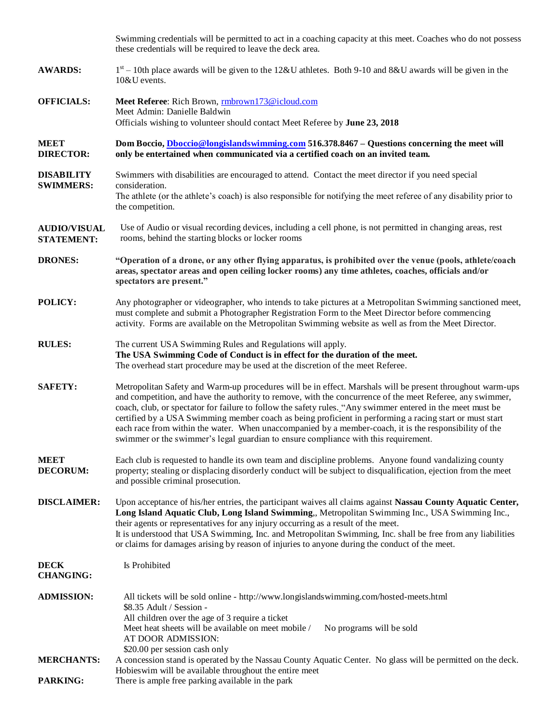|                                          | Swimming credentials will be permitted to act in a coaching capacity at this meet. Coaches who do not possess<br>these credentials will be required to leave the deck area.                                                                                                                                                                                                                                                                                                                                                                                                                                                                       |  |  |  |  |  |
|------------------------------------------|---------------------------------------------------------------------------------------------------------------------------------------------------------------------------------------------------------------------------------------------------------------------------------------------------------------------------------------------------------------------------------------------------------------------------------------------------------------------------------------------------------------------------------------------------------------------------------------------------------------------------------------------------|--|--|--|--|--|
| <b>AWARDS:</b>                           | $1st - 10th$ place awards will be given to the 12&U athletes. Both 9-10 and 8&U awards will be given in the<br>$10&U$ events.                                                                                                                                                                                                                                                                                                                                                                                                                                                                                                                     |  |  |  |  |  |
| <b>OFFICIALS:</b>                        | Meet Referee: Rich Brown, mbrown173@icloud.com<br>Meet Admin: Danielle Baldwin<br>Officials wishing to volunteer should contact Meet Referee by June 23, 2018                                                                                                                                                                                                                                                                                                                                                                                                                                                                                     |  |  |  |  |  |
| <b>MEET</b><br><b>DIRECTOR:</b>          | Dom Boccio, Dboccio@longislandswimming.com 516.378.8467 - Questions concerning the meet will<br>only be entertained when communicated via a certified coach on an invited team.                                                                                                                                                                                                                                                                                                                                                                                                                                                                   |  |  |  |  |  |
| <b>DISABILITY</b><br><b>SWIMMERS:</b>    | Swimmers with disabilities are encouraged to attend. Contact the meet director if you need special<br>consideration.<br>The athlete (or the athlete's coach) is also responsible for notifying the meet referee of any disability prior to<br>the competition.                                                                                                                                                                                                                                                                                                                                                                                    |  |  |  |  |  |
| <b>AUDIO/VISUAL</b><br><b>STATEMENT:</b> | Use of Audio or visual recording devices, including a cell phone, is not permitted in changing areas, rest<br>rooms, behind the starting blocks or locker rooms                                                                                                                                                                                                                                                                                                                                                                                                                                                                                   |  |  |  |  |  |
| <b>DRONES:</b>                           | "Operation of a drone, or any other flying apparatus, is prohibited over the venue (pools, athlete/coach<br>areas, spectator areas and open ceiling locker rooms) any time athletes, coaches, officials and/or<br>spectators are present."                                                                                                                                                                                                                                                                                                                                                                                                        |  |  |  |  |  |
| <b>POLICY:</b>                           | Any photographer or videographer, who intends to take pictures at a Metropolitan Swimming sanctioned meet,<br>must complete and submit a Photographer Registration Form to the Meet Director before commencing<br>activity. Forms are available on the Metropolitan Swimming website as well as from the Meet Director.                                                                                                                                                                                                                                                                                                                           |  |  |  |  |  |
| <b>RULES:</b>                            | The current USA Swimming Rules and Regulations will apply.<br>The USA Swimming Code of Conduct is in effect for the duration of the meet.<br>The overhead start procedure may be used at the discretion of the meet Referee.                                                                                                                                                                                                                                                                                                                                                                                                                      |  |  |  |  |  |
| <b>SAFETY:</b>                           | Metropolitan Safety and Warm-up procedures will be in effect. Marshals will be present throughout warm-ups<br>and competition, and have the authority to remove, with the concurrence of the meet Referee, any swimmer,<br>coach, club, or spectator for failure to follow the safety rules. "Any swimmer entered in the meet must be<br>certified by a USA Swimming member coach as being proficient in performing a racing start or must start<br>each race from within the water. When unaccompanied by a member-coach, it is the responsibility of the<br>swimmer or the swimmer's legal guardian to ensure compliance with this requirement. |  |  |  |  |  |
| <b>MEET</b><br><b>DECORUM:</b>           | Each club is requested to handle its own team and discipline problems. Anyone found vandalizing county<br>property; stealing or displacing disorderly conduct will be subject to disqualification, ejection from the meet<br>and possible criminal prosecution.                                                                                                                                                                                                                                                                                                                                                                                   |  |  |  |  |  |
| <b>DISCLAIMER:</b>                       | Upon acceptance of his/her entries, the participant waives all claims against Nassau County Aquatic Center,<br>Long Island Aquatic Club, Long Island Swimming,, Metropolitan Swimming Inc., USA Swimming Inc.,<br>their agents or representatives for any injury occurring as a result of the meet.<br>It is understood that USA Swimming, Inc. and Metropolitan Swimming, Inc. shall be free from any liabilities<br>or claims for damages arising by reason of injuries to anyone during the conduct of the meet.                                                                                                                               |  |  |  |  |  |
| <b>DECK</b><br><b>CHANGING:</b>          | Is Prohibited                                                                                                                                                                                                                                                                                                                                                                                                                                                                                                                                                                                                                                     |  |  |  |  |  |
| <b>ADMISSION:</b>                        | All tickets will be sold online - http://www.longislandswimming.com/hosted-meets.html<br>\$8.35 Adult / Session -<br>All children over the age of 3 require a ticket<br>Meet heat sheets will be available on meet mobile /<br>No programs will be sold<br>AT DOOR ADMISSION:<br>\$20.00 per session cash only                                                                                                                                                                                                                                                                                                                                    |  |  |  |  |  |
| <b>MERCHANTS:</b>                        | A concession stand is operated by the Nassau County Aquatic Center. No glass will be permitted on the deck.<br>Hobies wim will be available throughout the entire meet                                                                                                                                                                                                                                                                                                                                                                                                                                                                            |  |  |  |  |  |
| <b>PARKING:</b>                          | There is ample free parking available in the park                                                                                                                                                                                                                                                                                                                                                                                                                                                                                                                                                                                                 |  |  |  |  |  |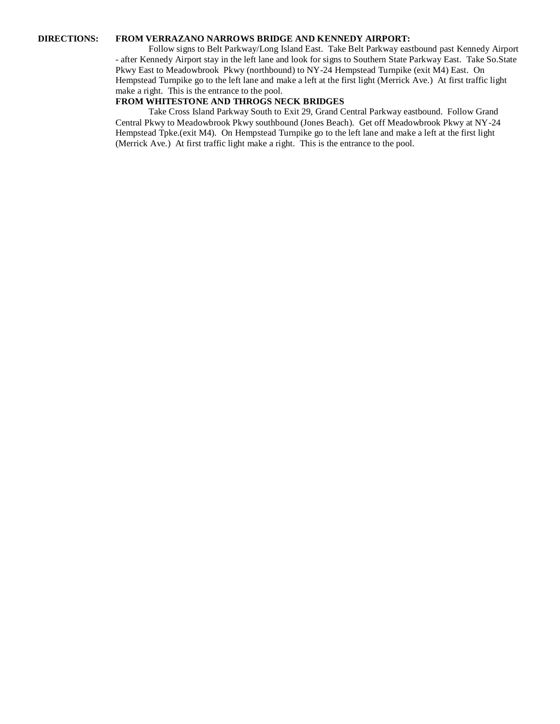## **DIRECTIONS: FROM VERRAZANO NARROWS BRIDGE AND KENNEDY AIRPORT:**

Follow signs to Belt Parkway/Long Island East. Take Belt Parkway eastbound past Kennedy Airport - after Kennedy Airport stay in the left lane and look for signs to Southern State Parkway East. Take So.State Pkwy East to Meadowbrook Pkwy (northbound) to NY-24 Hempstead Turnpike (exit M4) East. On Hempstead Turnpike go to the left lane and make a left at the first light (Merrick Ave.) At first traffic light make a right. This is the entrance to the pool.

## **FROM WHITESTONE AND THROGS NECK BRIDGES**

Take Cross Island Parkway South to Exit 29, Grand Central Parkway eastbound. Follow Grand Central Pkwy to Meadowbrook Pkwy southbound (Jones Beach). Get off Meadowbrook Pkwy at NY-24 Hempstead Tpke.(exit M4). On Hempstead Turnpike go to the left lane and make a left at the first light (Merrick Ave.) At first traffic light make a right. This is the entrance to the pool.